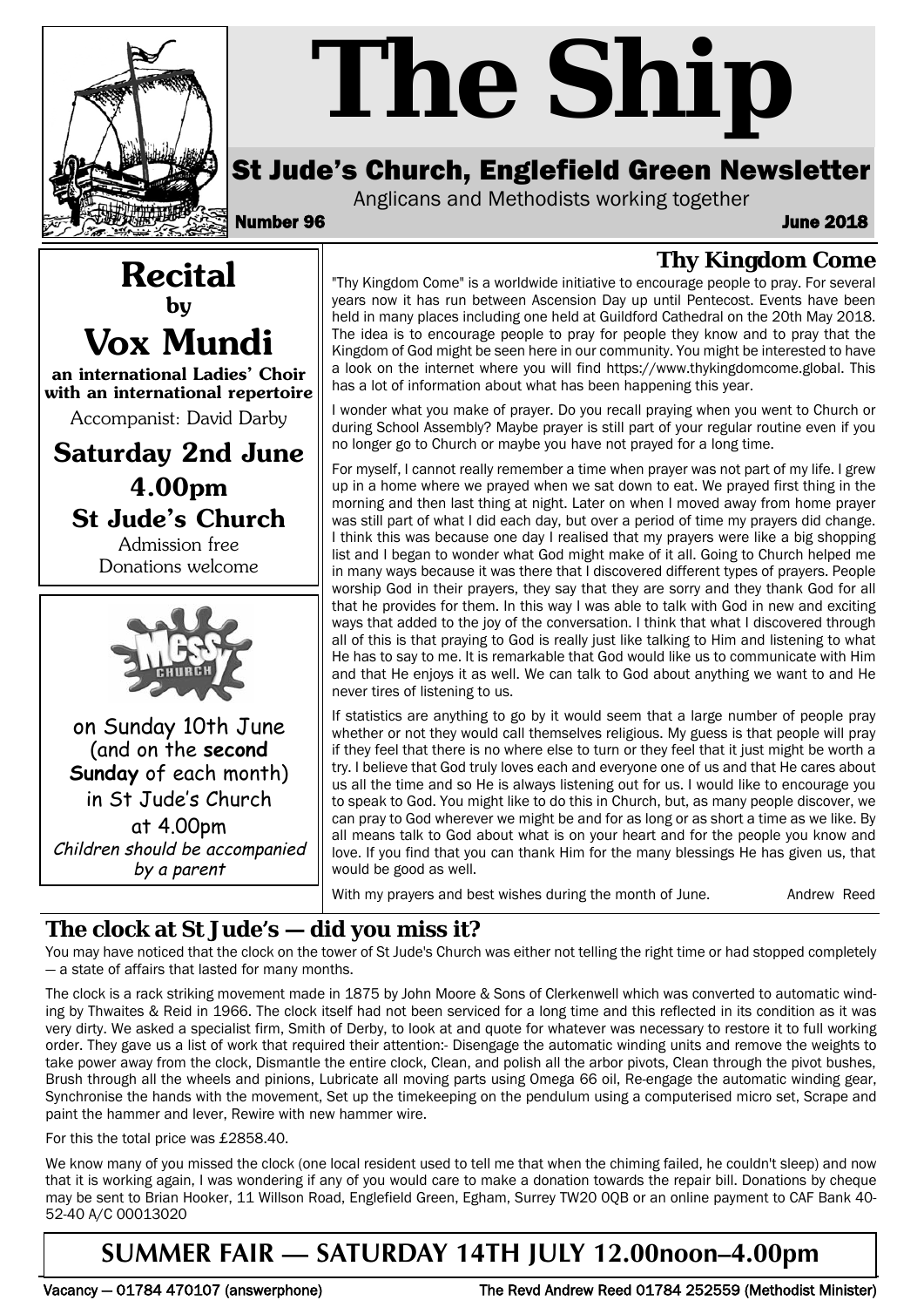

# *The Ship*

## St Jude's Church, Englefield Green Newsletter

Anglicans and Methodists working together

**Recital by**

**Vox Mundi**

**an international Ladies' Choir with an international repertoire** Accompanist: David Darby

**Saturday 2nd June**

**4.00pm St Jude's Church** Admission free Donations welcome

on Sunday 10th June (and on the **second Sunday** of each month) in St Jude's Church at 4.00pm Children should be accompanied by a parent

Number 96 June 2018

## **Thy Kingdom Come**

"Thy Kingdom Come" is a worldwide initiative to encourage people to pray. For several years now it has run between Ascension Day up until Pentecost. Events have been held in many places including one held at Guildford Cathedral on the 20th May 2018. The idea is to encourage people to pray for people they know and to pray that the Kingdom of God might be seen here in our community. You might be interested to have a look on the internet where you will find https://www.thykingdomcome.global. This has a lot of information about what has been happening this year.

I wonder what you make of prayer. Do you recall praying when you went to Church or during School Assembly? Maybe prayer is still part of your regular routine even if you no longer go to Church or maybe you have not prayed for a long time.

For myself, I cannot really remember a time when prayer was not part of my life. I grew up in a home where we prayed when we sat down to eat. We prayed first thing in the morning and then last thing at night. Later on when I moved away from home prayer was still part of what I did each day, but over a period of time my prayers did change. I think this was because one day I realised that my prayers were like a big shopping list and I began to wonder what God might make of it all. Going to Church helped me in many ways because it was there that I discovered different types of prayers. People worship God in their prayers, they say that they are sorry and they thank God for all that he provides for them. In this way I was able to talk with God in new and exciting ways that added to the joy of the conversation. I think that what I discovered through all of this is that praying to God is really just like talking to Him and listening to what He has to say to me. It is remarkable that God would like us to communicate with Him and that He enjoys it as well. We can talk to God about anything we want to and He never tires of listening to us.

If statistics are anything to go by it would seem that a large number of people pray whether or not they would call themselves religious. My guess is that people will pray if they feel that there is no where else to turn or they feel that it just might be worth a try. I believe that God truly loves each and everyone one of us and that He cares about us all the time and so He is always listening out for us. I would like to encourage you to speak to God. You might like to do this in Church, but, as many people discover, we can pray to God wherever we might be and for as long or as short a time as we like. By all means talk to God about what is on your heart and for the people you know and love. If you find that you can thank Him for the many blessings He has given us, that would be good as well.

With my prayers and best wishes during the month of June. Andrew Reed

### **The clock at St Jude's — did you miss it?**

You may have noticed that the clock on the tower of St Jude's Church was either not telling the right time or had stopped completely — a state of affairs that lasted for many months.

The clock is a rack striking movement made in 1875 by John Moore & Sons of Clerkenwell which was converted to automatic winding by Thwaites & Reid in 1966. The clock itself had not been serviced for a long time and this reflected in its condition as it was very dirty. We asked a specialist firm, Smith of Derby, to look at and quote for whatever was necessary to restore it to full working order. They gave us a list of work that required their attention:- Disengage the automatic winding units and remove the weights to take power away from the clock, Dismantle the entire clock, Clean, and polish all the arbor pivots, Clean through the pivot bushes, Brush through all the wheels and pinions, Lubricate all moving parts using Omega 66 oil, Re-engage the automatic winding gear, Synchronise the hands with the movement, Set up the timekeeping on the pendulum using a computerised micro set, Scrape and paint the hammer and lever, Rewire with new hammer wire.

For this the total price was £2858.40.

We know many of you missed the clock (one local resident used to tell me that when the chiming failed, he couldn't sleep) and now that it is working again, I was wondering if any of you would care to make a donation towards the repair bill. Donations by cheque may be sent to Brian Hooker, 11 Willson Road, Englefield Green, Egham, Surrey TW20 0QB or an online payment to CAF Bank 40- 52-40 A/C 00013020

## **SUMMER FAIR — SATURDAY 14TH JULY 12.00noon–4.00pm**

Vacancy — 01784 470107 (answerphone) The Revd Andrew Reed 01784 252559 (Methodist Minister)